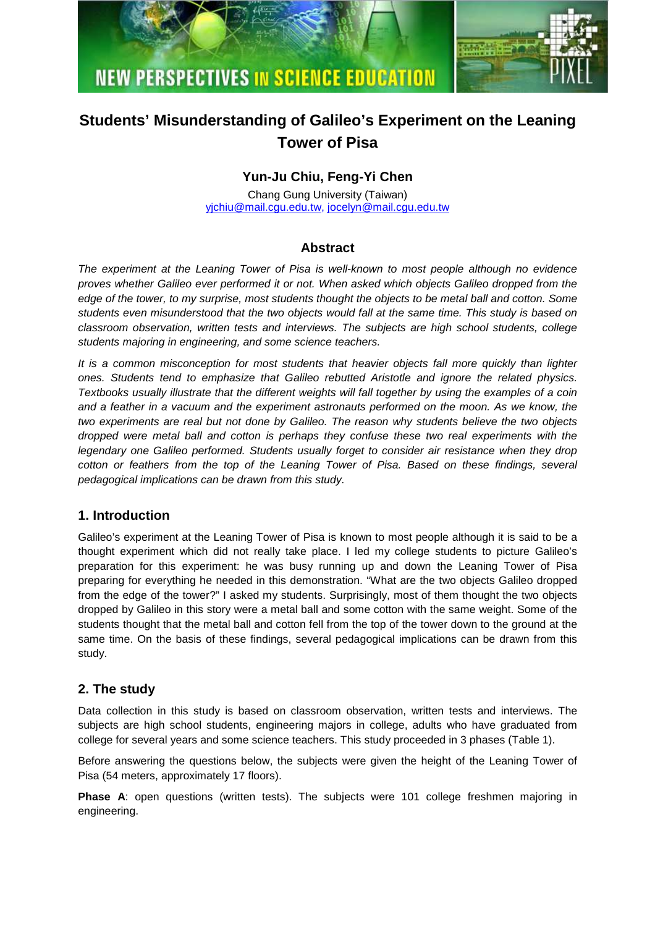



# **Students' Misunderstanding of Galileo's Experiment on the Leaning Tower of Pisa**

# **Yun-Ju Chiu, Feng-Yi Chen**

Chang Gung University (Taiwan) yjchiu@mail.cgu.edu.tw, jocelyn@mail.cgu.edu.tw

## **Abstract**

The experiment at the Leaning Tower of Pisa is well-known to most people although no evidence proves whether Galileo ever performed it or not. When asked which objects Galileo dropped from the edge of the tower, to my surprise, most students thought the objects to be metal ball and cotton. Some students even misunderstood that the two objects would fall at the same time. This study is based on classroom observation, written tests and interviews. The subjects are high school students, college students majoring in engineering, and some science teachers.

It is a common misconception for most students that heavier objects fall more quickly than lighter ones. Students tend to emphasize that Galileo rebutted Aristotle and ignore the related physics. Textbooks usually illustrate that the different weights will fall together by using the examples of a coin and a feather in a vacuum and the experiment astronauts performed on the moon. As we know, the two experiments are real but not done by Galileo. The reason why students believe the two objects dropped were metal ball and cotton is perhaps they confuse these two real experiments with the legendary one Galileo performed. Students usually forget to consider air resistance when they drop cotton or feathers from the top of the Leaning Tower of Pisa. Based on these findings, several pedagogical implications can be drawn from this study.

## **1. Introduction**

Galileo's experiment at the Leaning Tower of Pisa is known to most people although it is said to be a thought experiment which did not really take place. I led my college students to picture Galileo's preparation for this experiment: he was busy running up and down the Leaning Tower of Pisa preparing for everything he needed in this demonstration. "What are the two objects Galileo dropped from the edge of the tower?" I asked my students. Surprisingly, most of them thought the two objects dropped by Galileo in this story were a metal ball and some cotton with the same weight. Some of the students thought that the metal ball and cotton fell from the top of the tower down to the ground at the same time. On the basis of these findings, several pedagogical implications can be drawn from this study.

# **2. The study**

Data collection in this study is based on classroom observation, written tests and interviews. The subjects are high school students, engineering majors in college, adults who have graduated from college for several years and some science teachers. This study proceeded in 3 phases (Table 1).

Before answering the questions below, the subjects were given the height of the Leaning Tower of Pisa (54 meters, approximately 17 floors).

**Phase A:** open questions (written tests). The subjects were 101 college freshmen majoring in engineering.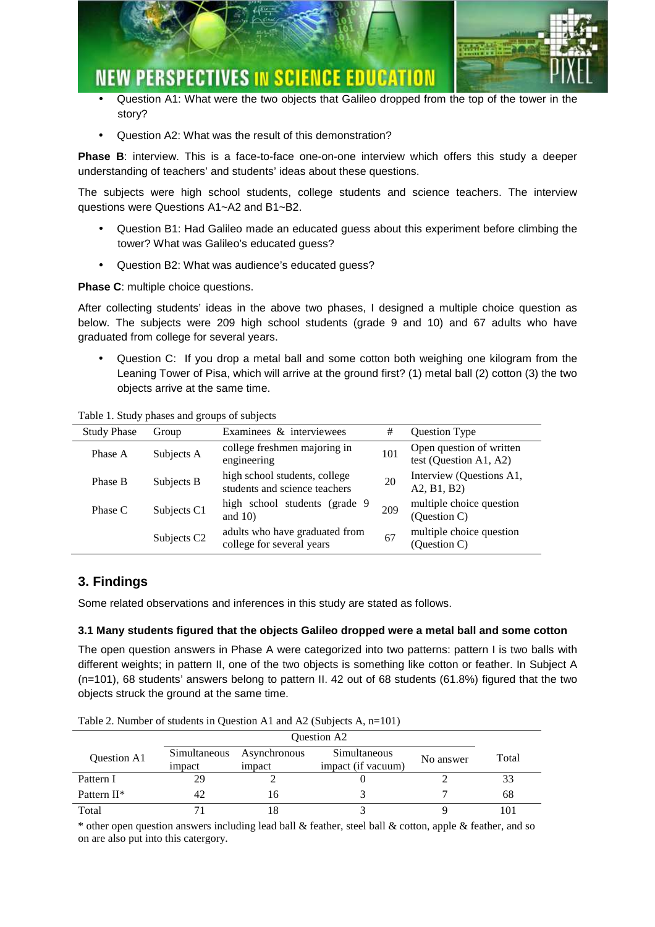

- Question A1: What were the two objects that Galileo dropped from the top of the tower in the story?
- Question A2: What was the result of this demonstration?

**Phase B**: interview. This is a face-to-face one-on-one interview which offers this study a deeper understanding of teachers' and students' ideas about these questions.

The subjects were high school students, college students and science teachers. The interview questions were Questions A1~A2 and B1~B2.

- Question B1: Had Galileo made an educated guess about this experiment before climbing the tower? What was Galileo's educated guess?
- Question B2: What was audience's educated guess?

**Phase C**: multiple choice questions.

After collecting students' ideas in the above two phases, I designed a multiple choice question as below. The subjects were 209 high school students (grade 9 and 10) and 67 adults who have graduated from college for several years.

• Question C: If you drop a metal ball and some cotton both weighing one kilogram from the Leaning Tower of Pisa, which will arrive at the ground first? (1) metal ball (2) cotton (3) the two objects arrive at the same time.

Table 1. Study phases and groups of subjects

| <b>Study Phase</b> | Group                   | Examinees & interviewees                                       | #   | Question Type                                      |  |  |  |  |  |
|--------------------|-------------------------|----------------------------------------------------------------|-----|----------------------------------------------------|--|--|--|--|--|
| Phase A            | Subjects A              | college freshmen majoring in<br>engineering                    | 101 | Open question of written<br>test (Question A1, A2) |  |  |  |  |  |
| Phase B            | Subjects B              | high school students, college<br>students and science teachers | 20  | Interview (Questions A1,<br>A2, B1, B2             |  |  |  |  |  |
| Phase C            | Subjects C1             | high school students (grade 9<br>and $10$ )                    | 209 | multiple choice question<br>(Question C)           |  |  |  |  |  |
|                    | Subjects C <sub>2</sub> | adults who have graduated from<br>college for several years    | 67  | multiple choice question<br>(Question C)           |  |  |  |  |  |

# **3. Findings**

Some related observations and inferences in this study are stated as follows.

## **3.1 Many students figured that the objects Galileo dropped were a metal ball and some cotton**

The open question answers in Phase A were categorized into two patterns: pattern I is two balls with different weights; in pattern II, one of the two objects is something like cotton or feather. In Subject A (n=101), 68 students' answers belong to pattern II. 42 out of 68 students (61.8%) figured that the two objects struck the ground at the same time.

Table 2. Number of students in Question A1 and A2 (Subjects A, n=101)

| <b>Ouestion A2</b>      |                        |                        |                                    |           |       |
|-------------------------|------------------------|------------------------|------------------------------------|-----------|-------|
| Question A1             | Simultaneous<br>impact | Asynchronous<br>impact | Simultaneous<br>impact (if vacuum) | No answer | Total |
| Pattern I               | 29                     |                        |                                    |           | 33    |
| Pattern II <sup>*</sup> | 42                     | 16                     |                                    |           | 68    |
| Total                   |                        |                        |                                    |           | 101   |

\* other open question answers including lead ball  $\&$  feather, steel ball  $\&$  cotton, apple  $\&$  feather, and so on are also put into this catergory.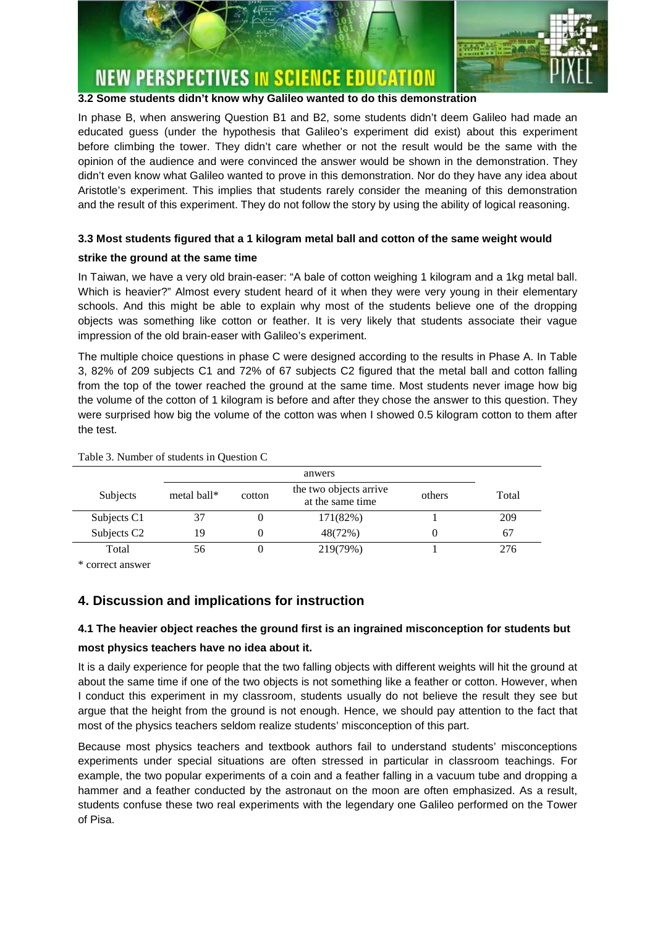

#### **3.2 Some students didn't know why Galileo wanted to do this demonstration**

In phase B, when answering Question B1 and B2, some students didn't deem Galileo had made an educated guess (under the hypothesis that Galileo's experiment did exist) about this experiment before climbing the tower. They didn't care whether or not the result would be the same with the opinion of the audience and were convinced the answer would be shown in the demonstration. They didn't even know what Galileo wanted to prove in this demonstration. Nor do they have any idea about Aristotle's experiment. This implies that students rarely consider the meaning of this demonstration and the result of this experiment. They do not follow the story by using the ability of logical reasoning.

## **3.3 Most students figured that a 1 kilogram metal ball and cotton of the same weight would**

### **strike the ground at the same time**

In Taiwan, we have a very old brain-easer: "A bale of cotton weighing 1 kilogram and a 1kg metal ball. Which is heavier?" Almost every student heard of it when they were very young in their elementary schools. And this might be able to explain why most of the students believe one of the dropping objects was something like cotton or feather. It is very likely that students associate their vague impression of the old brain-easer with Galileo's experiment.

The multiple choice questions in phase C were designed according to the results in Phase A. In Table 3, 82% of 209 subjects C1 and 72% of 67 subjects C2 figured that the metal ball and cotton falling from the top of the tower reached the ground at the same time. Most students never image how big the volume of the cotton of 1 kilogram is before and after they chose the answer to this question. They were surprised how big the volume of the cotton was when I showed 0.5 kilogram cotton to them after the test.

| Subjects                | metal ball* | cotton | the two objects arrive<br>at the same time | others | Total |  |  |  |  |  |
|-------------------------|-------------|--------|--------------------------------------------|--------|-------|--|--|--|--|--|
| Subjects C1             | 37          |        | 171(82%)                                   |        | 209   |  |  |  |  |  |
| Subjects C <sub>2</sub> | 19          |        | 48(72%)                                    |        | 67    |  |  |  |  |  |
| Total                   | 56          |        | 219(79%)                                   |        | 276   |  |  |  |  |  |

#### Table 3. Number of students in Question C

\* correct answer

# **4. Discussion and implications for instruction**

## **4.1 The heavier object reaches the ground first is an ingrained misconception for students but**

#### **most physics teachers have no idea about it.**

It is a daily experience for people that the two falling objects with different weights will hit the ground at about the same time if one of the two objects is not something like a feather or cotton. However, when I conduct this experiment in my classroom, students usually do not believe the result they see but argue that the height from the ground is not enough. Hence, we should pay attention to the fact that most of the physics teachers seldom realize students' misconception of this part.

Because most physics teachers and textbook authors fail to understand students' misconceptions experiments under special situations are often stressed in particular in classroom teachings. For example, the two popular experiments of a coin and a feather falling in a vacuum tube and dropping a hammer and a feather conducted by the astronaut on the moon are often emphasized. As a result, students confuse these two real experiments with the legendary one Galileo performed on the Tower of Pisa.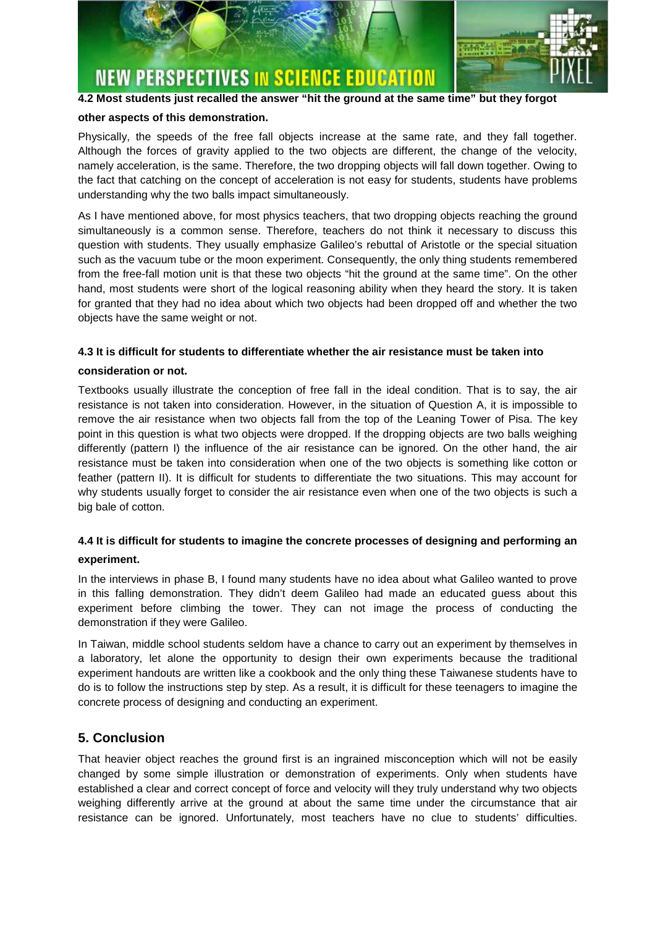

### **4.2 Most students just recalled the answer "hit the ground at the same time" but they forgot**

#### **other aspects of this demonstration.**

Physically, the speeds of the free fall objects increase at the same rate, and they fall together. Although the forces of gravity applied to the two objects are different, the change of the velocity, namely acceleration, is the same. Therefore, the two dropping objects will fall down together. Owing to the fact that catching on the concept of acceleration is not easy for students, students have problems understanding why the two balls impact simultaneously.

As I have mentioned above, for most physics teachers, that two dropping objects reaching the ground simultaneously is a common sense. Therefore, teachers do not think it necessary to discuss this question with students. They usually emphasize Galileo's rebuttal of Aristotle or the special situation such as the vacuum tube or the moon experiment. Consequently, the only thing students remembered from the free-fall motion unit is that these two objects "hit the ground at the same time". On the other hand, most students were short of the logical reasoning ability when they heard the story. It is taken for granted that they had no idea about which two objects had been dropped off and whether the two objects have the same weight or not.

#### **4.3 It is difficult for students to differentiate whether the air resistance must be taken into**

#### **consideration or not.**

Textbooks usually illustrate the conception of free fall in the ideal condition. That is to say, the air resistance is not taken into consideration. However, in the situation of Question A, it is impossible to remove the air resistance when two objects fall from the top of the Leaning Tower of Pisa. The key point in this question is what two objects were dropped. If the dropping objects are two balls weighing differently (pattern I) the influence of the air resistance can be ignored. On the other hand, the air resistance must be taken into consideration when one of the two objects is something like cotton or feather (pattern II). It is difficult for students to differentiate the two situations. This may account for why students usually forget to consider the air resistance even when one of the two objects is such a big bale of cotton.

# **4.4 It is difficult for students to imagine the concrete processes of designing and performing an experiment.**

In the interviews in phase B, I found many students have no idea about what Galileo wanted to prove in this falling demonstration. They didn't deem Galileo had made an educated guess about this experiment before climbing the tower. They can not image the process of conducting the demonstration if they were Galileo.

In Taiwan, middle school students seldom have a chance to carry out an experiment by themselves in a laboratory, let alone the opportunity to design their own experiments because the traditional experiment handouts are written like a cookbook and the only thing these Taiwanese students have to do is to follow the instructions step by step. As a result, it is difficult for these teenagers to imagine the concrete process of designing and conducting an experiment.

# **5. Conclusion**

That heavier object reaches the ground first is an ingrained misconception which will not be easily changed by some simple illustration or demonstration of experiments. Only when students have established a clear and correct concept of force and velocity will they truly understand why two objects weighing differently arrive at the ground at about the same time under the circumstance that air resistance can be ignored. Unfortunately, most teachers have no clue to students' difficulties.